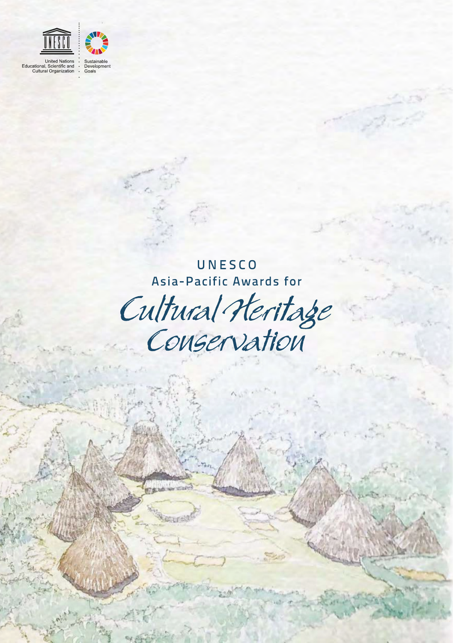

UNESCO Asia-Pacific Awards for

Cultural Heritage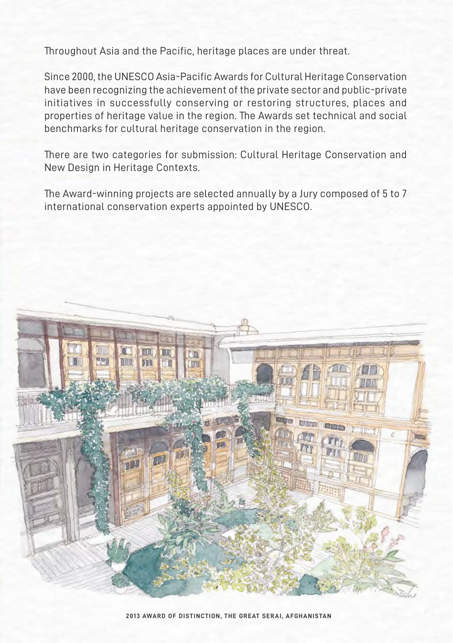Throughout Asia and the Pacific, heritage places are under threat.

Since 2000, the UNESCO Asia-Pacific Awards for Cultural Heritage Conservation have been recognizing the achievement of the private sector and public-private initiatives in successfully conserving or restoring structures, places and properties of heritage value in the region. The Awards set technical and social benchmarks for cultural heritage conservation in the region.

There are two categories for submission: Cultural Heritage Conservation and New Design in Heritage Contexts.

The Award-winning projects are selected annually by a Jury composed of 5 to 7 international conservation experts appointed by UNESCO.

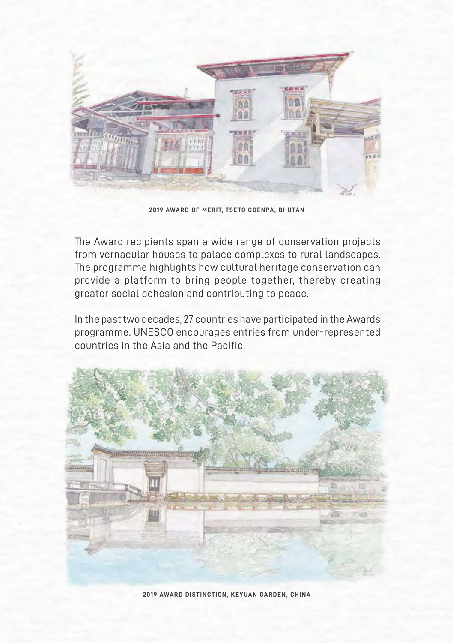

**2019 AWARD OF MERIT, TSETO GOENPA, BHUTAN**

The Award recipients span a wide range of conservation projects from vernacular houses to palace complexes to rural landscapes. The programme highlights how cultural heritage conservation can provide a platform to bring people together, thereby creating greater social cohesion and contributing to peace.

In the past two decades, 27 countries have participated in the Awards programme. UNESCO encourages entries from under-represented countries in the Asia and the Pacific.



**2019 AWARD DISTINCTION, KEYUAN GARDEN, CHINA**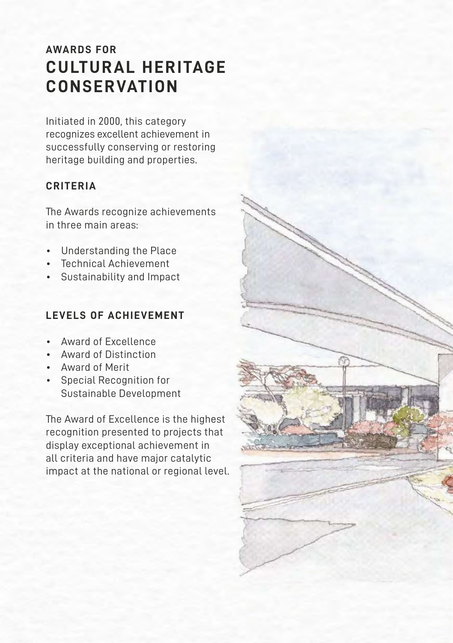## **AWARDS FOR CULTURAL HERITAGE CONSERVATION**

Initiated in 2000, this category recognizes excellent achievement in successfully conserving or restoring heritage building and properties.

### **CRITERIA**

The Awards recognize achievements in three main areas:

- Understanding the Place
- Technical Achievement
- Sustainability and Impact

#### **LEVELS OF ACHIEVEMENT**

- Award of Excellence
- Award of Distinction
- Award of Merit
- Special Recognition for Sustainable Development

The Award of Excellence is the highest recognition presented to projects that display exceptional achievement in all criteria and have major catalytic impact at the national or regional level.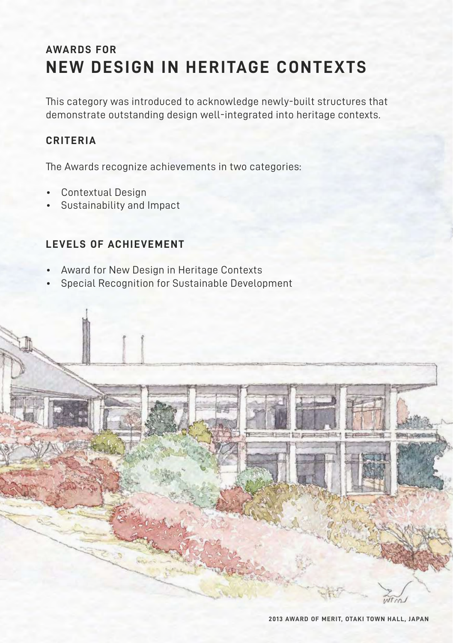## **AWARDS FOR NEW DESIGN IN HERITAGE CONTEXTS**

This category was introduced to acknowledge newly-built structures that demonstrate outstanding design well-integrated into heritage contexts.

#### **CRITERIA**

The Awards recognize achievements in two categories:

- Contextual Design
- Sustainability and Impact

#### **LEVELS OF ACHIEVEMENT**

- Award for New Design in Heritage Contexts
- Special Recognition for Sustainable Development

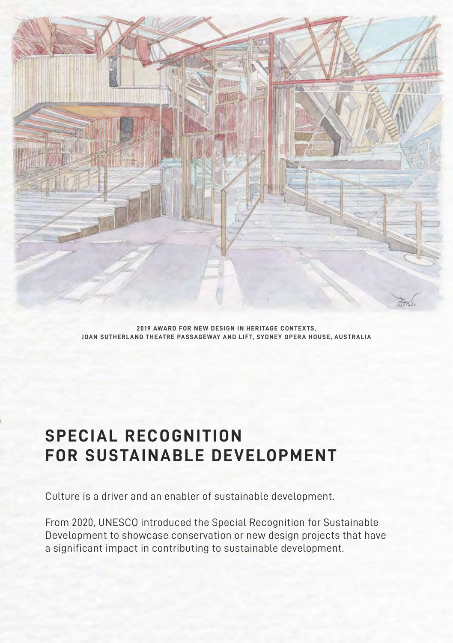

**2019 AWARD FOR NEW DESIGN IN HERITAGE CONTEXTS, JOAN SUTHERLAND THEATRE PASSAGEWAY AND LIFT, SYDNEY OPERA HOUSE, AUSTRALIA**

# **SPECIAL RECOGNITION FOR SUSTAINABLE DEVELOPMENT**

Culture is a driver and an enabler of sustainable development.

From 2020, UNESCO introduced the Special Recognition for Sustainable Development to showcase conservation or new design projects that have a significant impact in contributing to sustainable development.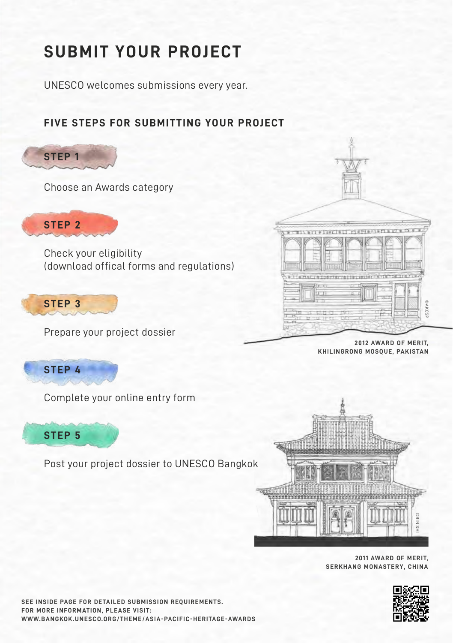# **SUBMIT YOUR PROJECT**

UNESCO welcomes submissions every year.

## **FIVE STEPS FOR SUBMITTING YOUR PROJECT**



Choose an Awards category



Check your eligibility (download offical forms and regulations)



Prepare your project dossier



Complete your online entry form



Post your project dossier to UNESCO Bangkok



**2011 AWARD OF MERIT,** 



**SEE INSIDE PAGE FOR DETAILED SUBMISSION REQUIREMENTS. FOR MORE INFORMATION, PLEASE VISIT: WWW.BANGKOK.UNESCO.ORG/THEME/ASIA-PACIFIC-HERITAGE-AWARDS**



**2012 AWARD OF MERIT, KHILINGRONG MOSQUE, PAKISTAN**